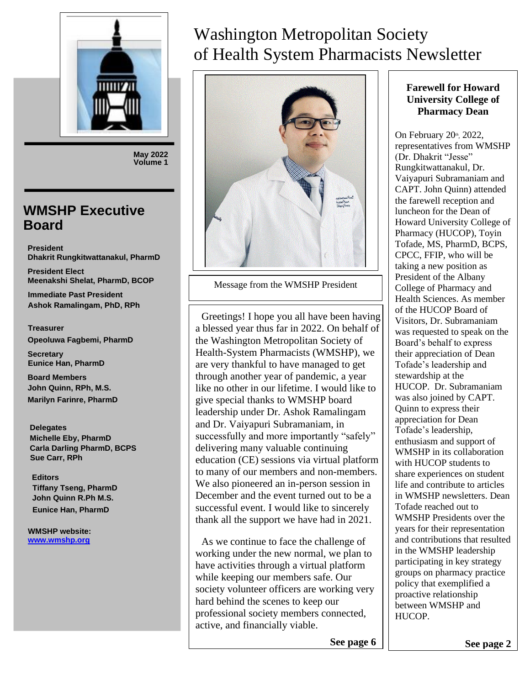

**May 2022 Volume 1**

## **WMSHP Executive Board**

 **President Dhakrit Rungkitwattanakul, PharmD**

 **President Elect Meenakshi Shelat, PharmD, BCOP**

**Immediate Past President Ashok Ramalingam, PhD, RPh**

**Treasurer Opeoluwa Fagbemi, PharmD**

 **Secretary Eunice Han, PharmD**

 **Board Members John Quinn, RPh, M.S. Marilyn Farinre, PharmD**

 **Delegates Michelle Eby, PharmD Carla Darling PharmD, BCPS Sue Carr, RPh**

 **Editors Tiffany Tseng, PharmD John Quinn R.Ph M.S. Eunice Han, PharmD** 

**WMSHP website: www.wmshp.org**

## Washington Metropolitan Society of Health System Pharmacists Newsletter



Message from the WMSHP President

Greetings! I hope you all have been having a blessed year thus far in 2022. On behalf of the Washington Metropolitan Society of Health-System Pharmacists (WMSHP), we are very thankful to have managed to get through another year of pandemic, a year like no other in our lifetime. I would like to give special thanks to WMSHP board leadership under Dr. Ashok Ramalingam and Dr. Vaiyapuri Subramaniam, in successfully and more importantly "safely" delivering many valuable continuing education (CE) sessions via virtual platform to many of our members and non-members. We also pioneered an in-person session in December and the event turned out to be a successful event. I would like to sincerely thank all the support we have had in 2021.

As we continue to face the challenge of working under the new normal, we plan to have activities through a virtual platform while keeping our members safe. Our society volunteer officers are working very hard behind the scenes to keep our professional society members connected, active, and financially viable.

#### **Farewell for Howard University College of Pharmacy Dean**

On February 20th, 2022, representatives from WMSHP (Dr. Dhakrit "Jesse" Rungkitwattanakul, Dr. Vaiyapuri Subramaniam and CAPT. John Quinn) attended the farewell reception and luncheon for the Dean of Howard University College of Pharmacy (HUCOP), Toyin Tofade, MS, PharmD, BCPS, CPCC, FFIP, who will be taking a new position as President of the Albany College of Pharmacy and Health Sciences. As member of the HUCOP Board of Visitors, Dr. Subramaniam was requested to speak on the Board's behalf to express their appreciation of Dean Tofade's leadership and stewardship at the HUCOP. Dr. Subramaniam was also joined by CAPT. Quinn to express their appreciation for Dean Tofade's leadership, enthusiasm and support of WMSHP in its collaboration with HUCOP students to share experiences on student life and contribute to articles in WMSHP newsletters. Dean Tofade reached out to WMSHP Presidents over the years for their representation and contributions that resulted in the WMSHP leadership participating in key strategy groups on pharmacy practice policy that exemplified a proactive relationship between WMSHP and HUCOP.

**See page 6**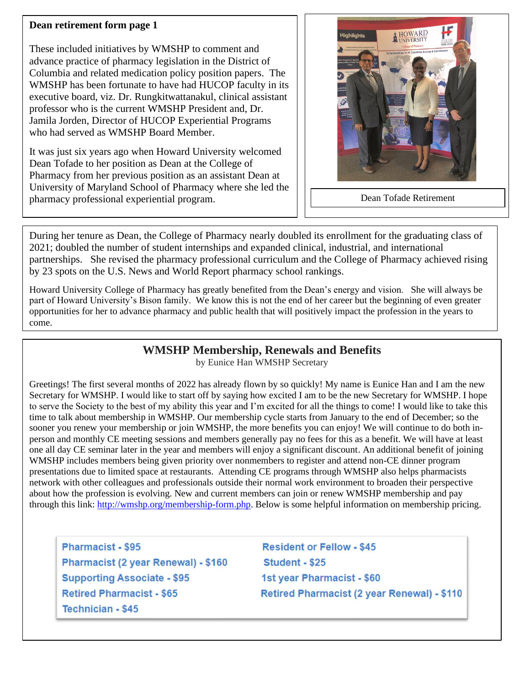#### **Dean retirement form page 1**

These included initiatives by WMSHP to comment and advance practice of pharmacy legislation in the District of Columbia and related medication policy position papers. The WMSHP has been fortunate to have had HUCOP faculty in its executive board, viz. Dr. Rungkitwattanakul, clinical assistant professor who is the current WMSHP President and, Dr. Jamila Jorden, Director of HUCOP Experiential Programs who had served as WMSHP Board Member.

It was just six years ago when Howard University welcomed Dean Tofade to her position as Dean at the College of Pharmacy from her previous position as an assistant Dean at University of Maryland School of Pharmacy where she led the pharmacy professional experiential program.



Dean Tofade Retirement

During her tenure as Dean, the College of Pharmacy nearly doubled its enrollment for the graduating class of 2021; doubled the number of student internships and expanded clinical, industrial, and international partnerships. She revised the pharmacy professional curriculum and the College of Pharmacy achieved rising by 23 spots on the U.S. News and World Report pharmacy school rankings.

Howard University College of Pharmacy has greatly benefited from the Dean's energy and vision. She will always be part of Howard University's Bison family. We know this is not the end of her career but the beginning of even greater opportunities for her to advance pharmacy and public health that will positively impact the profession in the years to come.

#### **WMSHP Membership, Renewals and Benefits**

by Eunice Han WMSHP Secretary

Greetings! The first several months of 2022 has already flown by so quickly! My name is Eunice Han and I am the new Secretary for WMSHP. I would like to start off by saying how excited I am to be the new Secretary for WMSHP. I hope to serve the Society to the best of my ability this year and I'm excited for all the things to come! I would like to take this time to talk about membership in WMSHP. Our membership cycle starts from January to the end of December; so the sooner you renew your membership or join WMSHP, the more benefits you can enjoy! We will continue to do both inperson and monthly CE meeting sessions and members generally pay no fees for this as a benefit. We will have at least one all day CE seminar later in the year and members will enjoy a significant discount. An additional benefit of joining WMSHP includes members being given priority over nonmembers to register and attend non-CE dinner program presentations due to limited space at restaurants. Attending CE programs through WMSHP also helps pharmacists network with other colleagues and professionals outside their normal work environment to broaden their perspective about how the profession is evolving. New and current members can join or renew WMSHP membership and pay through this link: [http://wmshp.org/membership-form.php.](http://wmshp.org/membership-form.php) Below is some helpful information on membership pricing.

**Pharmacist - \$95** Pharmacist (2 year Renewal) - \$160 **Supporting Associate - \$95 Retired Pharmacist - \$65 Technician - \$45** 

**Resident or Fellow - \$45** Student - \$25 1st year Pharmacist - \$60 Retired Pharmacist (2 year Renewal) - \$110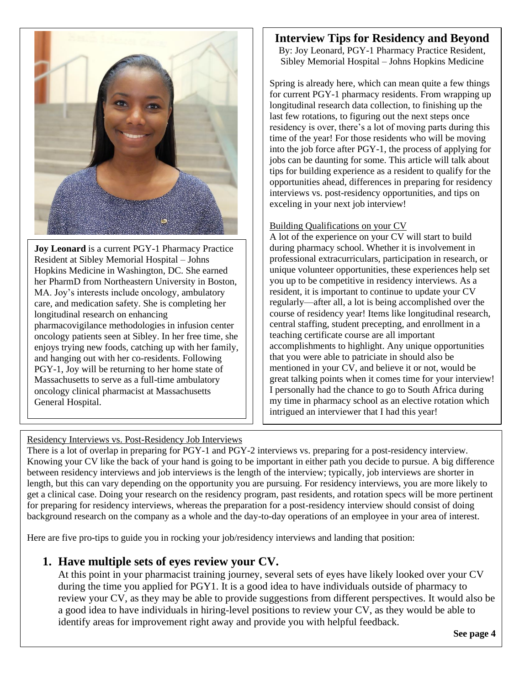

**Joy Leonard** is a current PGY-1 Pharmacy Practice Resident at Sibley Memorial Hospital – Johns Hopkins Medicine in Washington, DC. She earned her PharmD from Northeastern University in Boston, MA. Joy's interests include oncology, ambulatory care, and medication safety. She is completing her longitudinal research on enhancing pharmacovigilance methodologies in infusion center oncology patients seen at Sibley. In her free time, she enjoys trying new foods, catching up with her family, and hanging out with her co-residents. Following PGY-1, Joy will be returning to her home state of Massachusetts to serve as a full-time ambulatory oncology clinical pharmacist at Massachusetts General Hospital.

## **Interview Tips for Residency and Beyond**

By: Joy Leonard, PGY-1 Pharmacy Practice Resident, Sibley Memorial Hospital – Johns Hopkins Medicine

Spring is already here, which can mean quite a few things for current PGY-1 pharmacy residents. From wrapping up longitudinal research data collection, to finishing up the last few rotations, to figuring out the next steps once residency is over, there's a lot of moving parts during this time of the year! For those residents who will be moving into the job force after PGY-1, the process of applying for jobs can be daunting for some. This article will talk about tips for building experience as a resident to qualify for the opportunities ahead, differences in preparing for residency interviews vs. post-residency opportunities, and tips on exceling in your next job interview!

#### Building Qualifications on your CV

A lot of the experience on your CV will start to build during pharmacy school. Whether it is involvement in professional extracurriculars, participation in research, or unique volunteer opportunities, these experiences help set you up to be competitive in residency interviews. As a resident, it is important to continue to update your CV regularly—after all, a lot is being accomplished over the course of residency year! Items like longitudinal research, central staffing, student precepting, and enrollment in a teaching certificate course are all important accomplishments to highlight. Any unique opportunities that you were able to patriciate in should also be mentioned in your CV, and believe it or not, would be great talking points when it comes time for your interview! I personally had the chance to go to South Africa during my time in pharmacy school as an elective rotation which intrigued an interviewer that I had this year!

#### Residency Interviews vs. Post-Residency Job Interviews

There is a lot of overlap in preparing for PGY-1 and PGY-2 interviews vs. preparing for a post-residency interview. Knowing your CV like the back of your hand is going to be important in either path you decide to pursue. A big difference between residency interviews and job interviews is the length of the interview; typically, job interviews are shorter in length, but this can vary depending on the opportunity you are pursuing. For residency interviews, you are more likely to get a clinical case. Doing your research on the residency program, past residents, and rotation specs will be more pertinent for preparing for residency interviews, whereas the preparation for a post-residency interview should consist of doing background research on the company as a whole and the day-to-day operations of an employee in your area of interest.

Here are five pro-tips to guide you in rocking your job/residency interviews and landing that position:

#### **1. Have multiple sets of eyes review your CV.**

At this point in your pharmacist training journey, several sets of eyes have likely looked over your CV during the time you applied for PGY1. It is a good idea to have individuals outside of pharmacy to review your CV, as they may be able to provide suggestions from different perspectives. It would also be a good idea to have individuals in hiring-level positions to review your CV, as they would be able to identify areas for improvement right away and provide you with helpful feedback.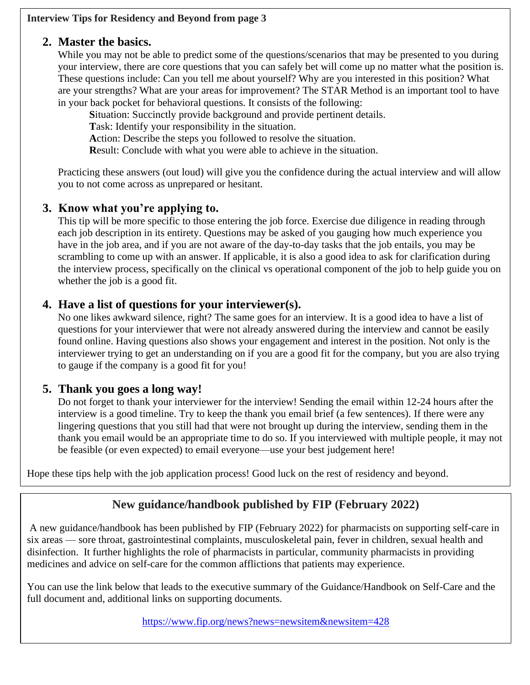#### **Interview Tips for Residency and Beyond from page 3**

## **2. Master the basics.**

While you may not be able to predict some of the questions/scenarios that may be presented to you during your interview, there are core questions that you can safely bet will come up no matter what the position is. These questions include: Can you tell me about yourself? Why are you interested in this position? What are your strengths? What are your areas for improvement? The STAR Method is an important tool to have in your back pocket for behavioral questions. It consists of the following:

**S**ituation: Succinctly provide background and provide pertinent details.

**T**ask: Identify your responsibility in the situation.

**A**ction: Describe the steps you followed to resolve the situation.

**R**esult: Conclude with what you were able to achieve in the situation.

Practicing these answers (out loud) will give you the confidence during the actual interview and will allow you to not come across as unprepared or hesitant.

## **3. Know what you're applying to.**

This tip will be more specific to those entering the job force. Exercise due diligence in reading through each job description in its entirety. Questions may be asked of you gauging how much experience you have in the job area, and if you are not aware of the day-to-day tasks that the job entails, you may be scrambling to come up with an answer. If applicable, it is also a good idea to ask for clarification during the interview process, specifically on the clinical vs operational component of the job to help guide you on whether the job is a good fit.

## **4. Have a list of questions for your interviewer(s).**

No one likes awkward silence, right? The same goes for an interview. It is a good idea to have a list of questions for your interviewer that were not already answered during the interview and cannot be easily found online. Having questions also shows your engagement and interest in the position. Not only is the interviewer trying to get an understanding on if you are a good fit for the company, but you are also trying to gauge if the company is a good fit for you!

## **5. Thank you goes a long way!**

Do not forget to thank your interviewer for the interview! Sending the email within 12-24 hours after the interview is a good timeline. Try to keep the thank you email brief (a few sentences). If there were any lingering questions that you still had that were not brought up during the interview, sending them in the thank you email would be an appropriate time to do so. If you interviewed with multiple people, it may not be feasible (or even expected) to email everyone—use your best judgement here!

Hope these tips help with the job application process! Good luck on the rest of residency and beyond.

## **New guidance/handbook published by FIP (February 2022)**

A new guidance/handbook has been published by FIP (February 2022) for pharmacists on supporting self-care in six areas — sore throat, gastrointestinal complaints, musculoskeletal pain, fever in children, sexual health and disinfection. It further highlights the role of pharmacists in particular, community pharmacists in providing medicines and advice on self-care for the common afflictions that patients may experience.

You can use the link below that leads to the executive summary of the Guidance/Handbook on Self-Care and the full document and, additional links on supporting documents.

<https://www.fip.org/news?news=newsitem&newsitem=428>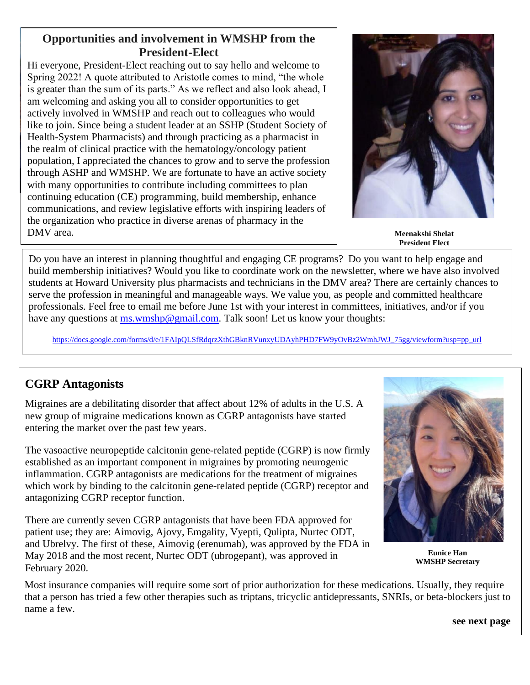#### **Opportunities and involvement in WMSHP from the President-Elect**

Hi everyone, President-Elect reaching out to say hello and welcome to Spring 2022! A quote attributed to Aristotle comes to mind, "the whole is greater than the sum of its parts." As we reflect and also look ahead, I am welcoming and asking you all to consider opportunities to get actively involved in WMSHP and reach out to colleagues who would like to join. Since being a student leader at an SSHP (Student Society of Health-System Pharmacists) and through practicing as a pharmacist in the realm of clinical practice with the hematology/oncology patient population, I appreciated the chances to grow and to serve the profession through ASHP and WMSHP. We are fortunate to have an active society with many opportunities to contribute including committees to plan continuing education (CE) programming, build membership, enhance communications, and review legislative efforts with inspiring leaders of the organization who practice in diverse arenas of pharmacy in the DMV area.



**Meenakshi Shelat President Elect**

Do you have an interest in planning thoughtful and engaging CE programs? Do you want to help engage and build membership initiatives? Would you like to coordinate work on the newsletter, where we have also involved students at Howard University plus pharmacists and technicians in the DMV area? There are certainly chances to serve the profession in meaningful and manageable ways. We value you, as people and committed healthcare professionals. Feel free to email me before June 1st with your interest in committees, initiatives, and/or if you have any questions at ms.wmshp@gmail.com. Talk soon! Let us know your thoughts:

https://docs.google.com/forms/d/e/1FAIpQLSfRdqrzXthGBknRVunxyUDAyhPHD7FW9yOvBz2WmhJWJ\_75gg/viewform?usp=pp\_url

## **CGRP Antagonists**

Migraines are a debilitating disorder that affect about 12% of adults in the U.S. A new group of migraine medications known as CGRP antagonists have started entering the market over the past few years.

The vasoactive neuropeptide calcitonin gene-related peptide (CGRP) is now firmly established as an important component in migraines by promoting neurogenic inflammation. CGRP antagonists are medications for the treatment of migraines which work by binding to the calcitonin gene-related peptide (CGRP) receptor and antagonizing CGRP receptor function.

There are currently seven CGRP antagonists that have been FDA approved for patient use; they are: Aimovig, Ajovy, Emgality, Vyepti, Qulipta, Nurtec ODT, and Ubrelvy. The first of these, Aimovig (erenumab), was approved by the FDA in May 2018 and the most recent, Nurtec ODT (ubrogepant), was approved in February 2020.



**Eunice Han WMSHP Secretary** 

Most insurance companies will require some sort of prior authorization for these medications. Usually, they require that a person has tried a few other therapies such as triptans, tricyclic antidepressants, SNRIs, or beta-blockers just to name a few.

**see next page**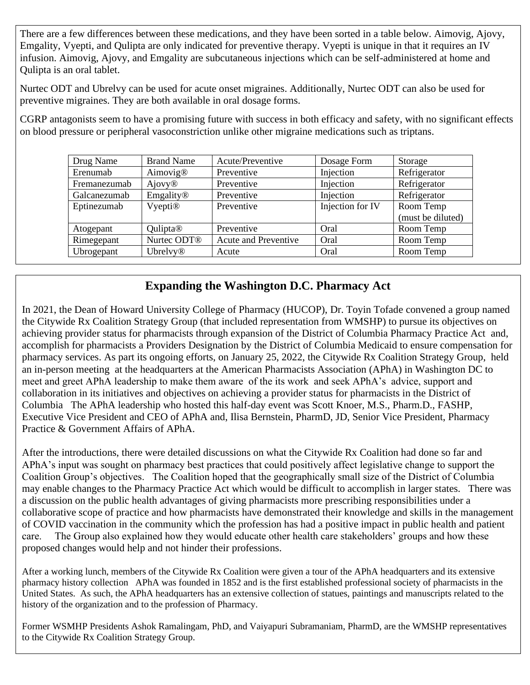There are a few differences between these medications, and they have been sorted in a table below. Aimovig, Ajovy, Emgality, Vyepti, and Qulipta are only indicated for preventive therapy. Vyepti is unique in that it requires an IV infusion. Aimovig, Ajovy, and Emgality are subcutaneous injections which can be self-administered at home and Qulipta is an oral tablet.

Nurtec ODT and Ubrelvy can be used for acute onset migraines. Additionally, Nurtec ODT can also be used for preventive migraines. They are both available in oral dosage forms.

CGRP antagonists seem to have a promising future with success in both efficacy and safety, with no significant effects on blood pressure or peripheral vasoconstriction unlike other migraine medications such as triptans.

| Drug Name    | <b>Brand Name</b>       | Acute/Preventive     | Dosage Form      | Storage           |
|--------------|-------------------------|----------------------|------------------|-------------------|
| Erenumab     | Aimovig <sup>®</sup>    | Preventive           | Injection        | Refrigerator      |
| Fremanezumab | Ajovy <sup>®</sup>      | Preventive           | Injection        | Refrigerator      |
| Galcanezumab | Emgality®               | Preventive           | Injection        | Refrigerator      |
| Eptinezumab  | Vyepti <sup>®</sup>     | Preventive           | Injection for IV | Room Temp         |
|              |                         |                      |                  | (must be diluted) |
| Atogepant    | Qulipta <sup>®</sup>    | Preventive           | Oral             | Room Temp         |
| Rimegepant   | Nurtec ODT <sup>®</sup> | Acute and Preventive | Oral             | Room Temp         |
| Ubrogepant   | Ubrelvy®                | Acute                | Oral             | Room Temp         |
|              |                         |                      |                  |                   |

## **Expanding the Washington D.C. Pharmacy Act**

In 2021, the Dean of Howard University College of Pharmacy (HUCOP), Dr. Toyin Tofade convened a group named the Citywide Rx Coalition Strategy Group (that included representation from WMSHP) to pursue its objectives on achieving provider status for pharmacists through expansion of the District of Columbia Pharmacy Practice Act and, accomplish for pharmacists a Providers Designation by the District of Columbia Medicaid to ensure compensation for pharmacy services. As part its ongoing efforts, on January 25, 2022, the Citywide Rx Coalition Strategy Group, held an in-person meeting at the headquarters at the American Pharmacists Association (APhA) in Washington DC to meet and greet APhA leadership to make them aware of the its work and seek APhA's advice, support and collaboration in its initiatives and objectives on achieving a provider status for pharmacists in the District of Columbia The APhA leadership who hosted this half-day event was Scott Knoer, M.S., Pharm.D., FASHP, Executive Vice President and CEO of APhA and, Ilisa Bernstein, PharmD, JD, Senior Vice President, Pharmacy Practice & Government Affairs of APhA.

After the introductions, there were detailed discussions on what the Citywide Rx Coalition had done so far and APhA's input was sought on pharmacy best practices that could positively affect legislative change to support the Coalition Group's objectives. The Coalition hoped that the geographically small size of the District of Columbia may enable changes to the Pharmacy Practice Act which would be difficult to accomplish in larger states. There was a discussion on the public health advantages of giving pharmacists more prescribing responsibilities under a collaborative scope of practice and how pharmacists have demonstrated their knowledge and skills in the management of COVID vaccination in the community which the profession has had a positive impact in public health and patient care. The Group also explained how they would educate other health care stakeholders' groups and how these proposed changes would help and not hinder their professions.

After a working lunch, members of the Citywide Rx Coalition were given a tour of the APhA headquarters and its extensive pharmacy history collection APhA was founded in 1852 and is the first established professional society of pharmacists in the United States. As such, the APhA headquarters has an extensive collection of statues, paintings and manuscripts related to the history of the organization and to the profession of Pharmacy.

Former WSMHP Presidents Ashok Ramalingam, PhD, and Vaiyapuri Subramaniam, PharmD, are the WMSHP representatives to the Citywide Rx Coalition Strategy Group.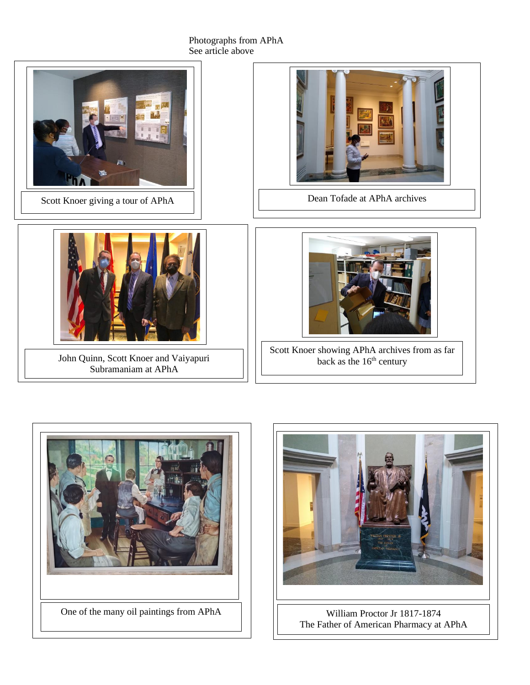#### Photographs from APhA See article above







William Proctor Jr 1817-1874 The Father of American Pharmacy at APhA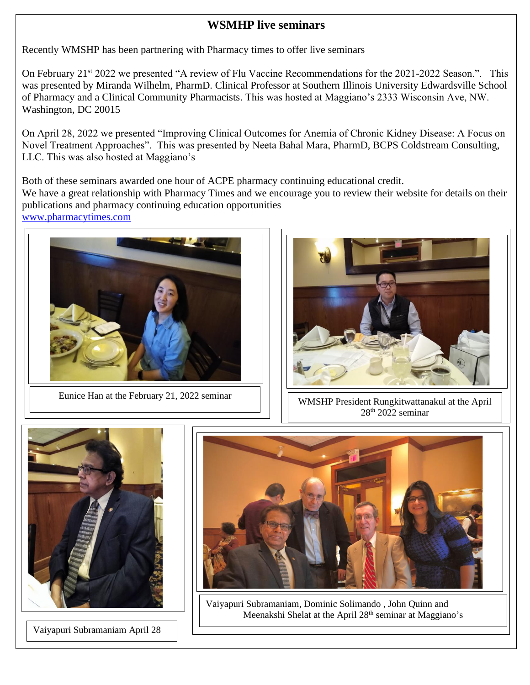## **WSMHP live seminars**

Recently WMSHP has been partnering with Pharmacy times to offer live seminars

On February 21<sup>st</sup> 2022 we presented "A review of Flu Vaccine Recommendations for the 2021-2022 Season.". This was presented by Miranda Wilhelm, PharmD. Clinical Professor at Southern Illinois University Edwardsville School of Pharmacy and a Clinical Community Pharmacists. This was hosted at Maggiano's 2333 Wisconsin Ave, NW. Washington, DC 20015

On April 28, 2022 we presented "Improving Clinical Outcomes for Anemia of Chronic Kidney Disease: A Focus on Novel Treatment Approaches". This was presented by Neeta Bahal Mara, PharmD, BCPS Coldstream Consulting, LLC. This was also hosted at Maggiano's

Both of these seminars awarded one hour of ACPE pharmacy continuing educational credit.

We have a great relationship with Pharmacy Times and we encourage you to review their website for details on their publications and pharmacy continuing education opportunities

[www.pharmacytimes.com](http://www.pharmacytimes.com/)





Eunice Han at the February 21, 2022 seminar  $\boxed{\phantom{\text{R}}\mid \phantom{\text{R}}\mid \phantom{\text{R}}\mid \phantom{\text{R}}\mid \phantom{\text{R}}\mid \phantom{\text{R}}\mid \phantom{\text{R}}\mid \phantom{\text{R}}\mid \phantom{\text{R}}\mid \phantom{\text{R}}\mid \phantom{\text{R}}\mid \phantom{\text{R}}\mid \phantom{\text{R}}\text{WMSHP President Rungkitwattanakul at the April}}$  $28<sup>th</sup> 2022$  seminar



Vaiyapuri Subramaniam April 28



Vaiyapuri Subramaniam, Dominic Solimando , John Quinn and Meenakshi Shelat at the April 28<sup>th</sup> seminar at Maggiano's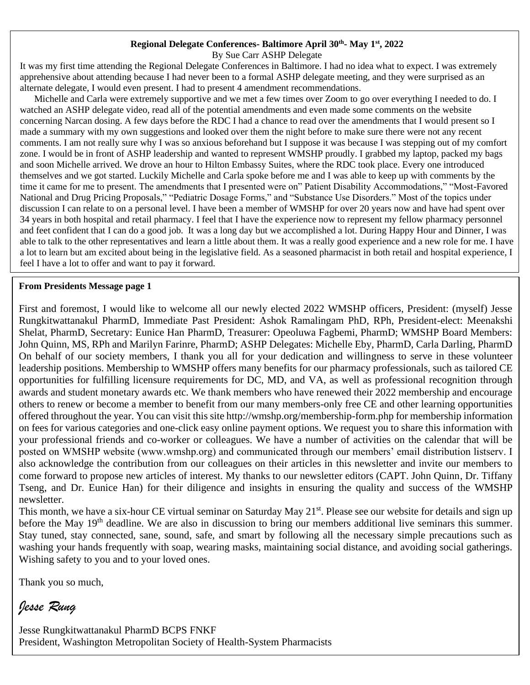#### **Regional Delegate Conferences- Baltimore April 30th - May 1st , 2022**

By Sue Carr ASHP Delegate

It was my first time attending the Regional Delegate Conferences in Baltimore. I had no idea what to expect. I was extremely apprehensive about attending because I had never been to a formal ASHP delegate meeting, and they were surprised as an alternate delegate, I would even present. I had to present 4 amendment recommendations.

 Michelle and Carla were extremely supportive and we met a few times over Zoom to go over everything I needed to do. I watched an ASHP delegate video, read all of the potential amendments and even made some comments on the website concerning Narcan dosing. A few days before the RDC I had a chance to read over the amendments that I would present so I made a summary with my own suggestions and looked over them the night before to make sure there were not any recent comments. I am not really sure why I was so anxious beforehand but I suppose it was because I was stepping out of my comfort zone. I would be in front of ASHP leadership and wanted to represent WMSHP proudly. I grabbed my laptop, packed my bags and soon Michelle arrived. We drove an hour to Hilton Embassy Suites, where the RDC took place. Every one introduced themselves and we got started. Luckily Michelle and Carla spoke before me and I was able to keep up with comments by the time it came for me to present. The amendments that I presented were on" Patient Disability Accommodations," "Most-Favored National and Drug Pricing Proposals," "Pediatric Dosage Forms," and "Substance Use Disorders." Most of the topics under discussion I can relate to on a personal level. I have been a member of WMSHP for over 20 years now and have had spent over 34 years in both hospital and retail pharmacy. I feel that I have the experience now to represent my fellow pharmacy personnel and feet confident that I can do a good job. It was a long day but we accomplished a lot. During Happy Hour and Dinner, I was able to talk to the other representatives and learn a little about them. It was a really good experience and a new role for me. I have a lot to learn but am excited about being in the legislative field. As a seasoned pharmacist in both retail and hospital experience, I feel I have a lot to offer and want to pay it forward.

#### **From Presidents Message page 1**

First and foremost, I would like to welcome all our newly elected 2022 WMSHP officers, President: (myself) Jesse Rungkitwattanakul PharmD, Immediate Past President: Ashok Ramalingam PhD, RPh, President-elect: Meenakshi Shelat, PharmD, Secretary: Eunice Han PharmD, Treasurer: Opeoluwa Fagbemi, PharmD; WMSHP Board Members: John Quinn, MS, RPh and Marilyn Farinre, PharmD; ASHP Delegates: Michelle Eby, PharmD, Carla Darling, PharmD On behalf of our society members, I thank you all for your dedication and willingness to serve in these volunteer leadership positions. Membership to WMSHP offers many benefits for our pharmacy professionals, such as tailored CE opportunities for fulfilling licensure requirements for DC, MD, and VA, as well as professional recognition through awards and student monetary awards etc. We thank members who have renewed their 2022 membership and encourage others to renew or become a member to benefit from our many members-only free CE and other learning opportunities offered throughout the year. You can visit this site http://wmshp.org/membership-form.php for membership information on fees for various categories and one-click easy online payment options. We request you to share this information with your professional friends and co-worker or colleagues. We have a number of activities on the calendar that will be posted on WMSHP website (www.wmshp.org) and communicated through our members' email distribution listserv. I also acknowledge the contribution from our colleagues on their articles in this newsletter and invite our members to come forward to propose new articles of interest. My thanks to our newsletter editors (CAPT. John Quinn, Dr. Tiffany Tseng, and Dr. Eunice Han) for their diligence and insights in ensuring the quality and success of the WMSHP newsletter.

This month, we have a six-hour CE virtual seminar on Saturday May 21<sup>st</sup>. Please see our website for details and sign up before the May 19<sup>th</sup> deadline. We are also in discussion to bring our members additional live seminars this summer. Stay tuned, stay connected, sane, sound, safe, and smart by following all the necessary simple precautions such as washing your hands frequently with soap, wearing masks, maintaining social distance, and avoiding social gatherings. Wishing safety to you and to your loved ones.

Thank you so much,

*Jesse Rung*

Jesse Rungkitwattanakul PharmD BCPS FNKF President, Washington Metropolitan Society of Health-System Pharmacists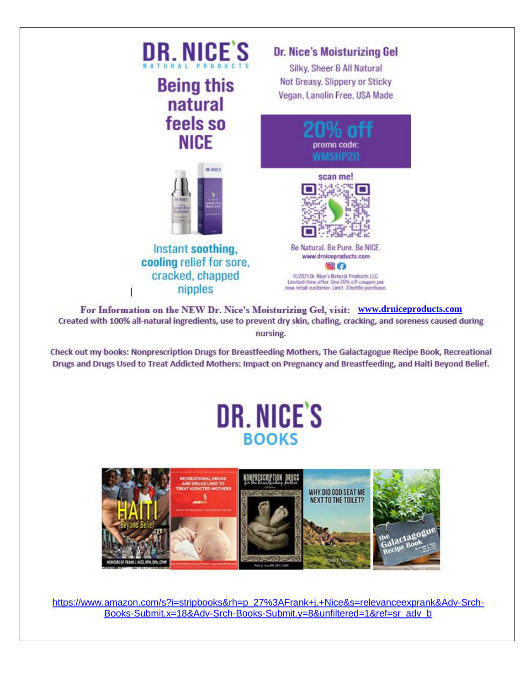

For Information on the NEW Dr. Nice's Moisturizing Gel, visit: [www.drniceproducts.com](http://www.drniceproducts.com/) Created with 100% all-natural ingredients, use to prevent dry skin, chafing, cracking, and soreness caused during nursing.

Check out my books: Nonprescription Drugs for Breastfeeding Mothers, The Galactagogue Recipe Book, Recreational Drugs and Drugs Used to Treat Addicted Mothers: Impact on Pregnancy and Breastfeeding, and Haiti Beyond Belief.

# **DR. NICE'S BOOKS**



[https://www.amazon.com/s?i=stripbooks&rh=p\\_27%3AFrank+j.+Nice&s=relevanceexprank&Adv-Srch-](https://www.amazon.com/s?i=stripbooks&rh=p_27%3AFrank+j.+Nice&s=relevanceexprank&Adv-Srch-Books-Submit.x=18&Adv-Srch-Books-Submit.y=8&unfiltered=1&ref=sr_adv_b)[Books-Submit.x=18&Adv-Srch-Books-Submit.y=8&unfiltered=1&ref=sr\\_adv\\_b](https://www.amazon.com/s?i=stripbooks&rh=p_27%3AFrank+j.+Nice&s=relevanceexprank&Adv-Srch-Books-Submit.x=18&Adv-Srch-Books-Submit.y=8&unfiltered=1&ref=sr_adv_b)